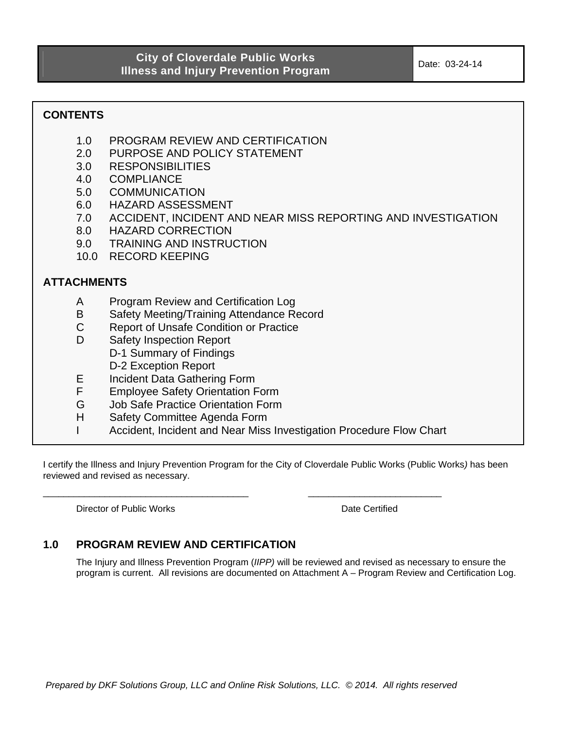**CONTENTS** 

- 1.0 PROGRAM REVIEW AND CERTIFICATION
- 2.0 PURPOSE AND POLICY STATEMENT
- 3.0 RESPONSIBILITIES
- 4.0 COMPLIANCE
- 5.0 COMMUNICATION
- 6.0 HAZARD ASSESSMENT
- 7.0 ACCIDENT, INCIDENT AND NEAR MISS REPORTING AND INVESTIGATION
- 8.0 HAZARD CORRECTION
- 9.0 TRAINING AND INSTRUCTION
- 10.0 RECORD KEEPING

## **ATTACHMENTS**

- A Program Review and Certification Log
- B Safety Meeting/Training Attendance Record
- C Report of Unsafe Condition or Practice
- D Safety Inspection Report D-1 Summary of Findings D-2 Exception Report
- E Incident Data Gathering Form
- F Employee Safety Orientation Form
- G Job Safe Practice Orientation Form
- H Safety Committee Agenda Form
- I Accident, Incident and Near Miss Investigation Procedure Flow Chart

\_\_\_\_\_\_\_\_\_\_\_\_\_\_\_\_\_\_\_\_\_\_\_\_\_\_\_\_\_\_\_\_\_\_\_\_\_\_\_\_ \_\_\_\_\_\_\_\_\_\_\_\_\_\_\_\_\_\_\_\_\_\_\_\_\_\_

I certify the Illness and Injury Prevention Program for the City of Cloverdale Public Works (Public Works*)* has been reviewed and revised as necessary.

Director of Public Works Date Certified

# **1.0 PROGRAM REVIEW AND CERTIFICATION**

The Injury and Illness Prevention Program (*IIPP)* will be reviewed and revised as necessary to ensure the program is current. All revisions are documented on Attachment A – Program Review and Certification Log.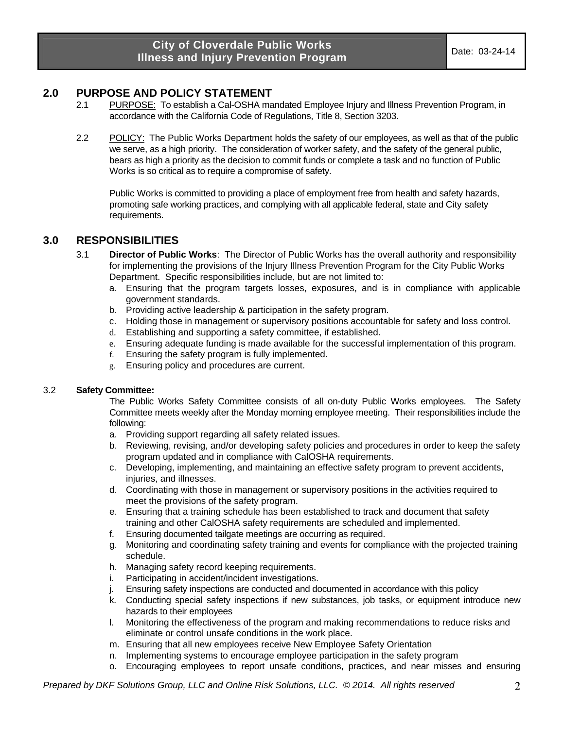## **2.0 PURPOSE AND POLICY STATEMENT**

- 2.1 PURPOSE: To establish a Cal-OSHA mandated Employee Injury and Illness Prevention Program, in accordance with the California Code of Regulations, Title 8, Section 3203.
- 2.2 POLICY: The Public Works Department holds the safety of our employees, as well as that of the public we serve, as a high priority. The consideration of worker safety, and the safety of the general public, bears as high a priority as the decision to commit funds or complete a task and no function of Public Works is so critical as to require a compromise of safety.

Public Works is committed to providing a place of employment free from health and safety hazards, promoting safe working practices, and complying with all applicable federal, state and City safety requirements.

### **3.0 RESPONSIBILITIES**

- 3.1 **Director of Public Works**: The Director of Public Works has the overall authority and responsibility for implementing the provisions of the Injury Illness Prevention Program for the City Public Works Department. Specific responsibilities include, but are not limited to:
	- a. Ensuring that the program targets losses, exposures, and is in compliance with applicable government standards.
	- b. Providing active leadership & participation in the safety program.
	- c. Holding those in management or supervisory positions accountable for safety and loss control.
	- d. Establishing and supporting a safety committee, if established.
	- e. Ensuring adequate funding is made available for the successful implementation of this program.
	- f. Ensuring the safety program is fully implemented.
	- g. Ensuring policy and procedures are current.

#### 3.2 **Safety Committee:**

The Public Works Safety Committee consists of all on-duty Public Works employees. The Safety Committee meets weekly after the Monday morning employee meeting. Their responsibilities include the following:

- a. Providing support regarding all safety related issues.
- b. Reviewing, revising, and/or developing safety policies and procedures in order to keep the safety program updated and in compliance with CalOSHA requirements.
- c. Developing, implementing, and maintaining an effective safety program to prevent accidents, iniuries, and illnesses.
- d. Coordinating with those in management or supervisory positions in the activities required to meet the provisions of the safety program.
- e. Ensuring that a training schedule has been established to track and document that safety training and other CalOSHA safety requirements are scheduled and implemented.
- f. Ensuring documented tailgate meetings are occurring as required.
- g. Monitoring and coordinating safety training and events for compliance with the projected training schedule.
- h. Managing safety record keeping requirements.
- i. Participating in accident/incident investigations.
- j. Ensuring safety inspections are conducted and documented in accordance with this policy
- k. Conducting special safety inspections if new substances, job tasks, or equipment introduce new hazards to their employees
- l. Monitoring the effectiveness of the program and making recommendations to reduce risks and eliminate or control unsafe conditions in the work place.
- m. Ensuring that all new employees receive New Employee Safety Orientation
- n. Implementing systems to encourage employee participation in the safety program
- o. Encouraging employees to report unsafe conditions, practices, and near misses and ensuring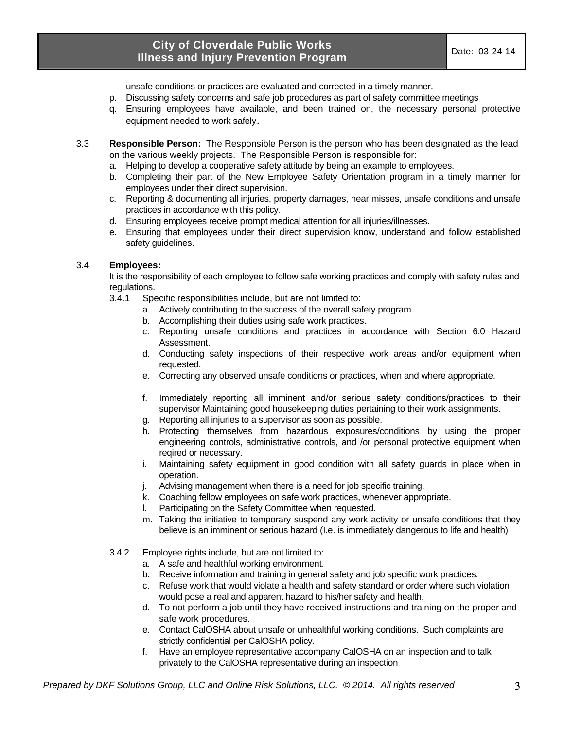unsafe conditions or practices are evaluated and corrected in a timely manner.

- p. Discussing safety concerns and safe job procedures as part of safety committee meetings
- q. Ensuring employees have available, and been trained on, the necessary personal protective equipment needed to work safely.
- 3.3 **Responsible Person:** The Responsible Person is the person who has been designated as the lead on the various weekly projects. The Responsible Person is responsible for:
	- a. Helping to develop a cooperative safety attitude by being an example to employees.
	- b. Completing their part of the New Employee Safety Orientation program in a timely manner for employees under their direct supervision.
	- c. Reporting & documenting all injuries, property damages, near misses, unsafe conditions and unsafe practices in accordance with this policy.
	- d. Ensuring employees receive prompt medical attention for all injuries/illnesses.
	- e. Ensuring that employees under their direct supervision know, understand and follow established safety guidelines.

#### 3.4 **Employees:**

It is the responsibility of each employee to follow safe working practices and comply with safety rules and regulations.

- 3.4.1 Specific responsibilities include, but are not limited to:
	- a. Actively contributing to the success of the overall safety program.
	- b. Accomplishing their duties using safe work practices.
	- c. Reporting unsafe conditions and practices in accordance with Section 6.0 Hazard Assessment.
	- d. Conducting safety inspections of their respective work areas and/or equipment when requested.
	- e. Correcting any observed unsafe conditions or practices, when and where appropriate.
	- f. Immediately reporting all imminent and/or serious safety conditions/practices to their supervisor Maintaining good housekeeping duties pertaining to their work assignments.
	- g. Reporting all injuries to a supervisor as soon as possible.
	- h. Protecting themselves from hazardous exposures/conditions by using the proper engineering controls, administrative controls, and /or personal protective equipment when reqired or necessary.
	- i. Maintaining safety equipment in good condition with all safety guards in place when in operation.
	- j. Advising management when there is a need for job specific training.
	- k. Coaching fellow employees on safe work practices, whenever appropriate.
	- l. Participating on the Safety Committee when requested.
	- m. Taking the initiative to temporary suspend any work activity or unsafe conditions that they believe is an imminent or serious hazard (I.e. is immediately dangerous to life and health)
- 3.4.2 Employee rights include, but are not limited to:
	- a. A safe and healthful working environment.
	- b. Receive information and training in general safety and job specific work practices.
	- c. Refuse work that would violate a health and safety standard or order where such violation would pose a real and apparent hazard to his/her safety and health.
	- d. To not perform a job until they have received instructions and training on the proper and safe work procedures.
	- e. Contact CalOSHA about unsafe or unhealthful working conditions. Such complaints are strictly confidential per CalOSHA policy.
	- f. Have an employee representative accompany CalOSHA on an inspection and to talk privately to the CalOSHA representative during an inspection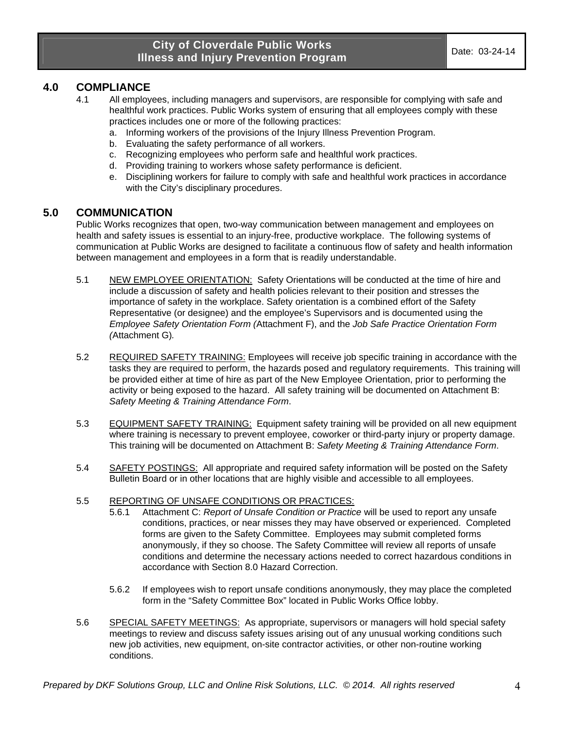## **4.0 COMPLIANCE**

- 4.1 All employees, including managers and supervisors, are responsible for complying with safe and healthful work practices. Public Works system of ensuring that all employees comply with these practices includes one or more of the following practices:
	- a. Informing workers of the provisions of the Injury Illness Prevention Program.
	- b. Evaluating the safety performance of all workers.
	- c. Recognizing employees who perform safe and healthful work practices.
	- d. Providing training to workers whose safety performance is deficient.
	- e. Disciplining workers for failure to comply with safe and healthful work practices in accordance with the City's disciplinary procedures.

### **5.0 COMMUNICATION**

Public Works recognizes that open, two-way communication between management and employees on health and safety issues is essential to an injury-free, productive workplace. The following systems of communication at Public Works are designed to facilitate a continuous flow of safety and health information between management and employees in a form that is readily understandable.

- 5.1 NEW EMPLOYEE ORIENTATION: Safety Orientations will be conducted at the time of hire and include a discussion of safety and health policies relevant to their position and stresses the importance of safety in the workplace. Safety orientation is a combined effort of the Safety Representative (or designee) and the employee's Supervisors and is documented using the *Employee Safety Orientation Form (*Attachment F), and the *Job Safe Practice Orientation Form (*Attachment G)*.*
- 5.2 REQUIRED SAFETY TRAINING: Employees will receive job specific training in accordance with the tasks they are required to perform, the hazards posed and regulatory requirements. This training will be provided either at time of hire as part of the New Employee Orientation, prior to performing the activity or being exposed to the hazard. All safety training will be documented on Attachment B: *Safety Meeting & Training Attendance Form*.
- 5.3 EQUIPMENT SAFETY TRAINING: Equipment safety training will be provided on all new equipment where training is necessary to prevent employee, coworker or third-party injury or property damage. This training will be documented on Attachment B: *Safety Meeting & Training Attendance Form*.
- 5.4 SAFETY POSTINGS: All appropriate and required safety information will be posted on the Safety Bulletin Board or in other locations that are highly visible and accessible to all employees.

#### 5.5 REPORTING OF UNSAFE CONDITIONS OR PRACTICES:

- 5.6.1 Attachment C: *Report of Unsafe Condition or Practice* will be used to report any unsafe conditions, practices, or near misses they may have observed or experienced. Completed forms are given to the Safety Committee. Employees may submit completed forms anonymously, if they so choose. The Safety Committee will review all reports of unsafe conditions and determine the necessary actions needed to correct hazardous conditions in accordance with Section 8.0 Hazard Correction.
- 5.6.2 If employees wish to report unsafe conditions anonymously, they may place the completed form in the "Safety Committee Box" located in Public Works Office lobby.
- 5.6 SPECIAL SAFETY MEETINGS: As appropriate, supervisors or managers will hold special safety meetings to review and discuss safety issues arising out of any unusual working conditions such new job activities, new equipment, on-site contractor activities, or other non-routine working conditions.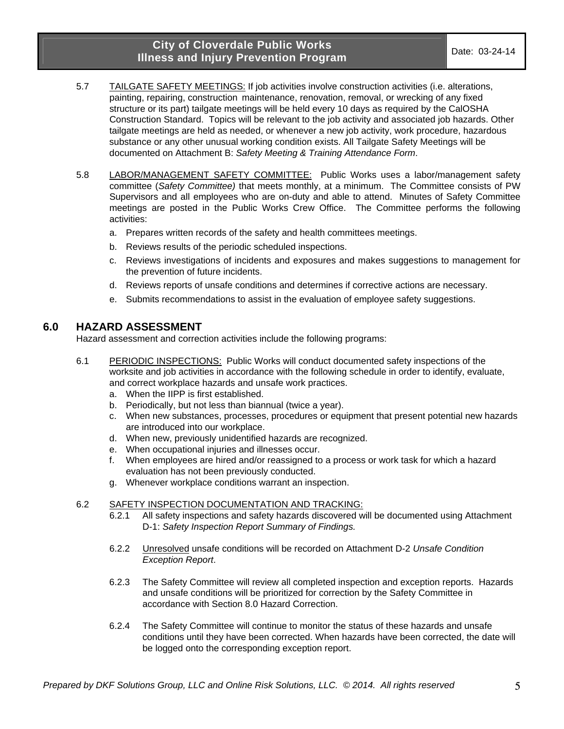- 5.7 TAILGATE SAFETY MEETINGS: If job activities involve construction activities (i.e. alterations, painting, repairing, construction maintenance, renovation, removal, or wrecking of any fixed structure or its part) tailgate meetings will be held every 10 days as required by the CalOSHA Construction Standard. Topics will be relevant to the job activity and associated job hazards. Other tailgate meetings are held as needed, or whenever a new job activity, work procedure, hazardous substance or any other unusual working condition exists. All Tailgate Safety Meetings will be documented on Attachment B: *Safety Meeting & Training Attendance Form*.
- 5.8 LABOR/MANAGEMENT SAFETY COMMITTEE: Public Works uses a labor/management safety committee (*Safety Committee)* that meets monthly, at a minimum. The Committee consists of PW Supervisors and all employees who are on-duty and able to attend. Minutes of Safety Committee meetings are posted in the Public Works Crew Office. The Committee performs the following activities:
	- a. Prepares written records of the safety and health committees meetings.
	- b. Reviews results of the periodic scheduled inspections.
	- c. Reviews investigations of incidents and exposures and makes suggestions to management for the prevention of future incidents.
	- d. Reviews reports of unsafe conditions and determines if corrective actions are necessary.
	- e. Submits recommendations to assist in the evaluation of employee safety suggestions.

#### **6.0 HAZARD ASSESSMENT**

Hazard assessment and correction activities include the following programs:

- 6.1 PERIODIC INSPECTIONS: Public Works will conduct documented safety inspections of the worksite and job activities in accordance with the following schedule in order to identify, evaluate, and correct workplace hazards and unsafe work practices.
	- a. When the IIPP is first established.
	- b. Periodically, but not less than biannual (twice a year).
	- c. When new substances, processes, procedures or equipment that present potential new hazards are introduced into our workplace.
	- d. When new, previously unidentified hazards are recognized.
	- e. When occupational injuries and illnesses occur.
	- f. When employees are hired and/or reassigned to a process or work task for which a hazard evaluation has not been previously conducted.
	- g. Whenever workplace conditions warrant an inspection.

#### 6.2 SAFETY INSPECTION DOCUMENTATION AND TRACKING:

- 6.2.1 All safety inspections and safety hazards discovered will be documented using Attachment D-1: *Safety Inspection Report Summary of Findings.*
- 6.2.2 Unresolved unsafe conditions will be recorded on Attachment D-2 *Unsafe Condition Exception Report*.
- 6.2.3 The Safety Committee will review all completed inspection and exception reports. Hazards and unsafe conditions will be prioritized for correction by the Safety Committee in accordance with Section 8.0 Hazard Correction.
- 6.2.4 The Safety Committee will continue to monitor the status of these hazards and unsafe conditions until they have been corrected. When hazards have been corrected, the date will be logged onto the corresponding exception report.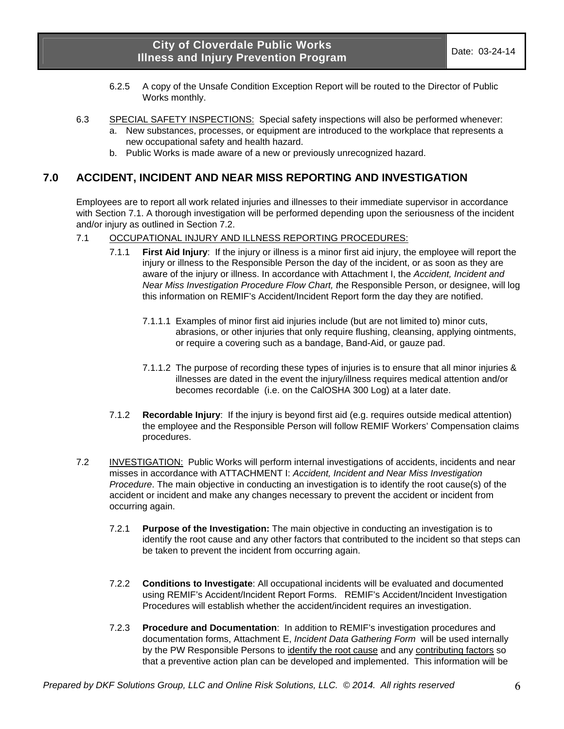- 6.2.5 A copy of the Unsafe Condition Exception Report will be routed to the Director of Public Works monthly.
- 6.3 SPECIAL SAFETY INSPECTIONS: Special safety inspections will also be performed whenever: New substances, processes, or equipment are introduced to the workplace that represents a new occupational safety and health hazard.
	- b. Public Works is made aware of a new or previously unrecognized hazard.

### **7.0 ACCIDENT, INCIDENT AND NEAR MISS REPORTING AND INVESTIGATION**

Employees are to report all work related injuries and illnesses to their immediate supervisor in accordance with Section 7.1. A thorough investigation will be performed depending upon the seriousness of the incident and/or injury as outlined in Section 7.2.

- 7.1 OCCUPATIONAL INJURY AND ILLNESS REPORTING PROCEDURES:
	- 7.1.1 **First Aid Injury**: If the injury or illness is a minor first aid injury, the employee will report the injury or illness to the Responsible Person the day of the incident, or as soon as they are aware of the injury or illness. In accordance with Attachment I, the *Accident, Incident and Near Miss Investigation Procedure Flow Chart, t*he Responsible Person, or designee, will log this information on REMIF's Accident/Incident Report form the day they are notified.
		- 7.1.1.1 Examples of minor first aid injuries include (but are not limited to) minor cuts, abrasions, or other injuries that only require flushing, cleansing, applying ointments, or require a covering such as a bandage, Band-Aid, or gauze pad.
		- 7.1.1.2 The purpose of recording these types of injuries is to ensure that all minor injuries & illnesses are dated in the event the injury/illness requires medical attention and/or becomes recordable (i.e. on the CalOSHA 300 Log) at a later date.
	- 7.1.2 **Recordable Injury**: If the injury is beyond first aid (e.g. requires outside medical attention) the employee and the Responsible Person will follow REMIF Workers' Compensation claims procedures.
- 7.2 INVESTIGATION: Public Works will perform internal investigations of accidents, incidents and near misses in accordance with ATTACHMENT I: *Accident, Incident and Near Miss Investigation Procedure*. The main objective in conducting an investigation is to identify the root cause(s) of the accident or incident and make any changes necessary to prevent the accident or incident from occurring again.
	- 7.2.1 **Purpose of the Investigation:** The main objective in conducting an investigation is to identify the root cause and any other factors that contributed to the incident so that steps can be taken to prevent the incident from occurring again.
	- 7.2.2 **Conditions to Investigate**: All occupational incidents will be evaluated and documented using REMIF's Accident/Incident Report Forms. REMIF's Accident/Incident Investigation Procedures will establish whether the accident/incident requires an investigation.
	- 7.2.3 **Procedure and Documentation**: In addition to REMIF's investigation procedures and documentation forms, Attachment E, *Incident Data Gathering Form* will be used internally by the PW Responsible Persons to identify the root cause and any contributing factors so that a preventive action plan can be developed and implemented. This information will be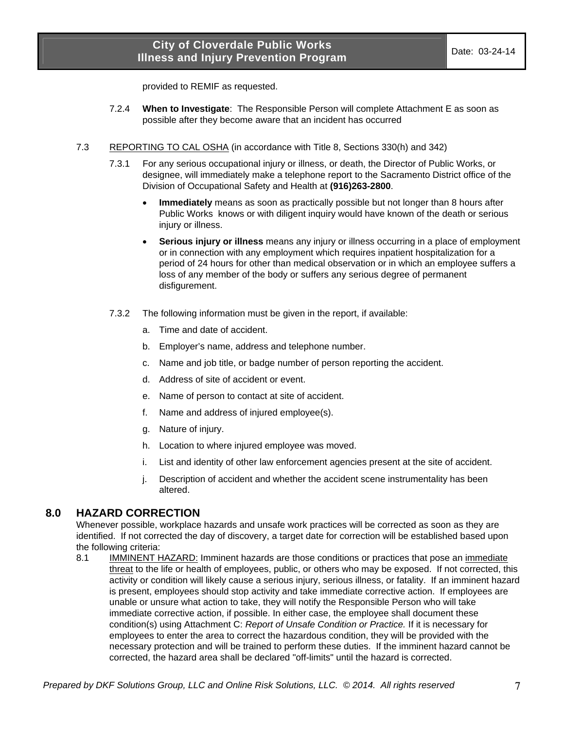provided to REMIF as requested.

- 7.2.4 **When to Investigate**: The Responsible Person will complete Attachment E as soon as possible after they become aware that an incident has occurred
- 7.3 REPORTING TO CAL OSHA (in accordance with Title 8, Sections 330(h) and 342)
	- 7.3.1 For any serious occupational injury or illness, or death, the Director of Public Works, or designee, will immediately make a telephone report to the Sacramento District office of the Division of Occupational Safety and Health at **(916)263-2800**.
		- **Immediately** means as soon as practically possible but not longer than 8 hours after Public Works knows or with diligent inquiry would have known of the death or serious injury or illness.
		- **Serious injury or illness** means any injury or illness occurring in a place of employment or in connection with any employment which requires inpatient hospitalization for a period of 24 hours for other than medical observation or in which an employee suffers a loss of any member of the body or suffers any serious degree of permanent disfigurement.
	- 7.3.2 The following information must be given in the report, if available:
		- a. Time and date of accident.
		- b. Employer's name, address and telephone number.
		- c. Name and job title, or badge number of person reporting the accident.
		- d. Address of site of accident or event.
		- e. Name of person to contact at site of accident.
		- f. Name and address of injured employee(s).
		- g. Nature of injury.
		- h. Location to where injured employee was moved.
		- i. List and identity of other law enforcement agencies present at the site of accident.
		- j. Description of accident and whether the accident scene instrumentality has been altered.

#### **8.0 HAZARD CORRECTION**

Whenever possible, workplace hazards and unsafe work practices will be corrected as soon as they are identified. If not corrected the day of discovery, a target date for correction will be established based upon the following criteria:

8.1 IMMINENT HAZARD: Imminent hazards are those conditions or practices that pose an immediate threat to the life or health of employees, public, or others who may be exposed. If not corrected, this activity or condition will likely cause a serious injury, serious illness, or fatality. If an imminent hazard is present, employees should stop activity and take immediate corrective action. If employees are unable or unsure what action to take, they will notify the Responsible Person who will take immediate corrective action, if possible. In either case, the employee shall document these condition(s) using Attachment C: *Report of Unsafe Condition or Practice.* If it is necessary for employees to enter the area to correct the hazardous condition, they will be provided with the necessary protection and will be trained to perform these duties. If the imminent hazard cannot be corrected, the hazard area shall be declared "off-limits" until the hazard is corrected.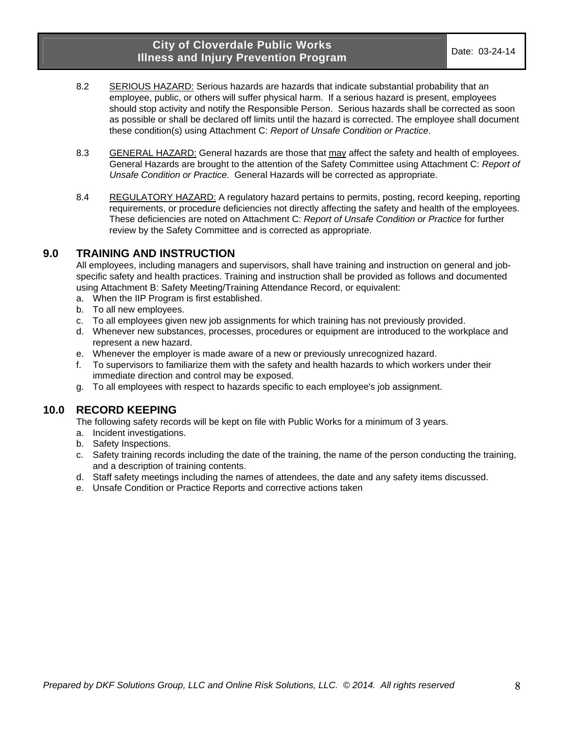- 8.2 SERIOUS HAZARD: Serious hazards are hazards that indicate substantial probability that an employee, public, or others will suffer physical harm. If a serious hazard is present, employees should stop activity and notify the Responsible Person. Serious hazards shall be corrected as soon as possible or shall be declared off limits until the hazard is corrected. The employee shall document these condition(s) using Attachment C: *Report of Unsafe Condition or Practice*.
- 8.3 GENERAL HAZARD: General hazards are those that may affect the safety and health of employees. General Hazards are brought to the attention of the Safety Committee using Attachment C: *Report of Unsafe Condition or Practice*. General Hazards will be corrected as appropriate.
- 8.4 REGULATORY HAZARD: A regulatory hazard pertains to permits, posting, record keeping, reporting requirements, or procedure deficiencies not directly affecting the safety and health of the employees. These deficiencies are noted on Attachment C: *Report of Unsafe Condition or Practice* for further review by the Safety Committee and is corrected as appropriate.

#### **9.0 TRAINING AND INSTRUCTION**

All employees, including managers and supervisors, shall have training and instruction on general and jobspecific safety and health practices. Training and instruction shall be provided as follows and documented using Attachment B: Safety Meeting/Training Attendance Record, or equivalent:

- a. When the IIP Program is first established.
- b. To all new employees.
- c. To all employees given new job assignments for which training has not previously provided.
- d. Whenever new substances, processes, procedures or equipment are introduced to the workplace and represent a new hazard.
- e. Whenever the employer is made aware of a new or previously unrecognized hazard.
- f. To supervisors to familiarize them with the safety and health hazards to which workers under their immediate direction and control may be exposed.
- g. To all employees with respect to hazards specific to each employee's job assignment.

## **10.0 RECORD KEEPING**

The following safety records will be kept on file with Public Works for a minimum of 3 years.

- a. Incident investigations.
- b. Safety Inspections.
- c. Safety training records including the date of the training, the name of the person conducting the training, and a description of training contents.
- d. Staff safety meetings including the names of attendees, the date and any safety items discussed.
- e. Unsafe Condition or Practice Reports and corrective actions taken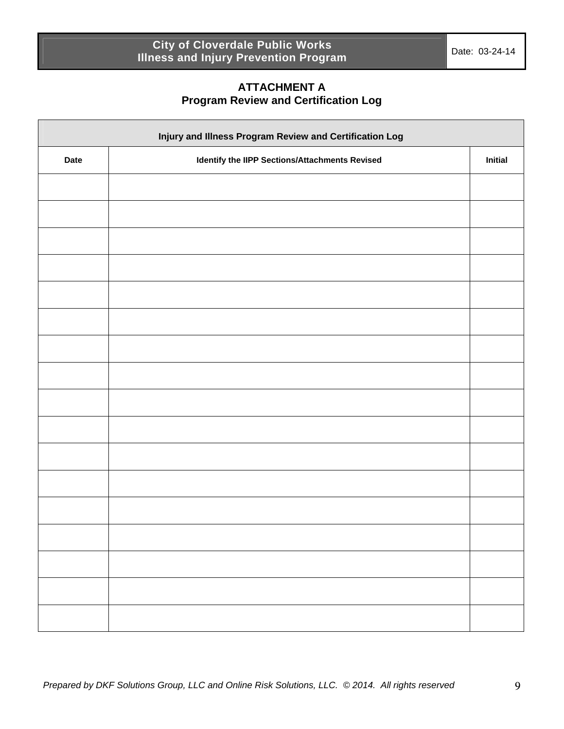## **ATTACHMENT A Program Review and Certification Log**

| Injury and Illness Program Review and Certification Log |                                                |  |  |  |  |
|---------------------------------------------------------|------------------------------------------------|--|--|--|--|
| <b>Date</b>                                             | Identify the IIPP Sections/Attachments Revised |  |  |  |  |
|                                                         |                                                |  |  |  |  |
|                                                         |                                                |  |  |  |  |
|                                                         |                                                |  |  |  |  |
|                                                         |                                                |  |  |  |  |
|                                                         |                                                |  |  |  |  |
|                                                         |                                                |  |  |  |  |
|                                                         |                                                |  |  |  |  |
|                                                         |                                                |  |  |  |  |
|                                                         |                                                |  |  |  |  |
|                                                         |                                                |  |  |  |  |
|                                                         |                                                |  |  |  |  |
|                                                         |                                                |  |  |  |  |
|                                                         |                                                |  |  |  |  |
|                                                         |                                                |  |  |  |  |
|                                                         |                                                |  |  |  |  |
|                                                         |                                                |  |  |  |  |
|                                                         |                                                |  |  |  |  |
|                                                         |                                                |  |  |  |  |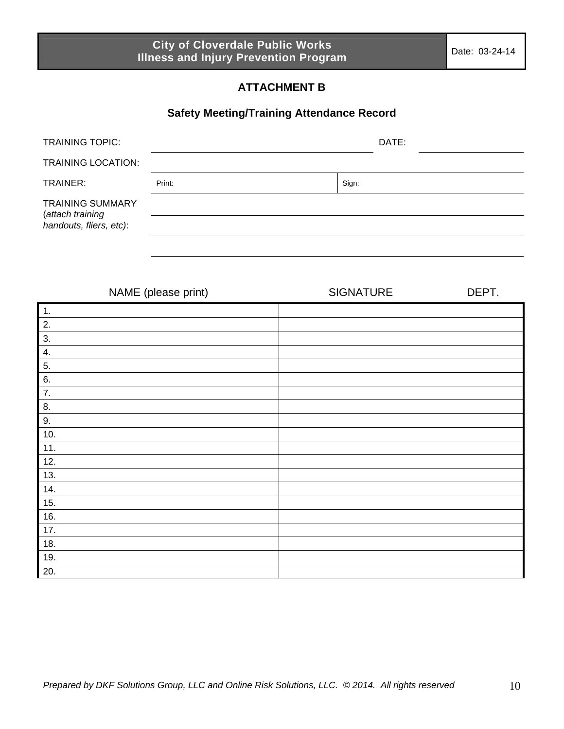# **ATTACHMENT B**

# **Safety Meeting/Training Attendance Record**

| <b>TRAINING TOPIC:</b>                                                 | DATE:  |       |  |
|------------------------------------------------------------------------|--------|-------|--|
| <b>TRAINING LOCATION:</b>                                              |        |       |  |
| TRAINER:                                                               | Print: | Sign: |  |
| <b>TRAINING SUMMARY</b><br>(attach training<br>handouts, fliers, etc): |        |       |  |

|                | NAME (please print) | <b>SIGNATURE</b> | DEPT. |
|----------------|---------------------|------------------|-------|
| $\mathbf{1}$ . |                     |                  |       |
| 2.             |                     |                  |       |
| 3.             |                     |                  |       |
| 4.             |                     |                  |       |
| 5.             |                     |                  |       |
| 6.             |                     |                  |       |
| 7.             |                     |                  |       |
| 8.             |                     |                  |       |
| 9.             |                     |                  |       |
| 10.            |                     |                  |       |
| 11.            |                     |                  |       |
| 12.            |                     |                  |       |
| 13.            |                     |                  |       |
| 14.            |                     |                  |       |
| 15.            |                     |                  |       |
| 16.            |                     |                  |       |
| 17.            |                     |                  |       |
| 18.            |                     |                  |       |
| 19.            |                     |                  |       |
| 20.            |                     |                  |       |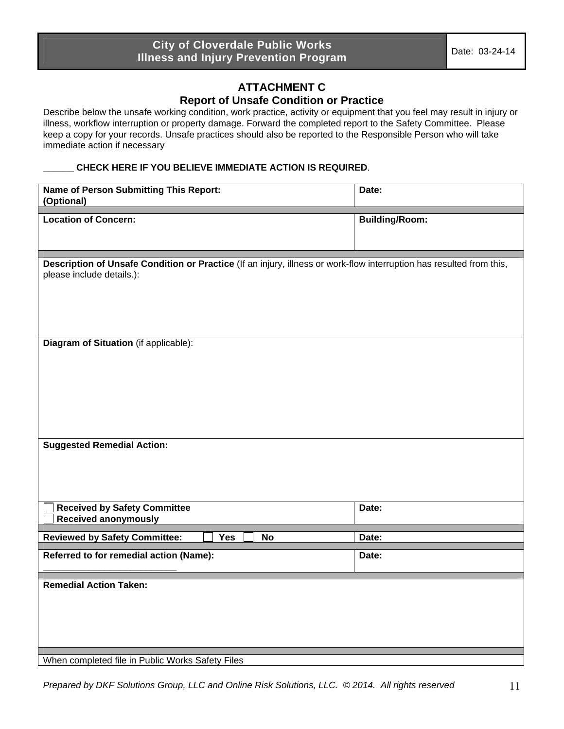### **ATTACHMENT C Report of Unsafe Condition or Practice**

Describe below the unsafe working condition, work practice, activity or equipment that you feel may result in injury or illness, workflow interruption or property damage. Forward the completed report to the Safety Committee. Please keep a copy for your records. Unsafe practices should also be reported to the Responsible Person who will take immediate action if necessary

#### **\_\_\_\_\_\_ CHECK HERE IF YOU BELIEVE IMMEDIATE ACTION IS REQUIRED**.

| <b>Name of Person Submitting This Report:</b><br>(Optional)                                                                                       | Date:                 |  |  |  |  |
|---------------------------------------------------------------------------------------------------------------------------------------------------|-----------------------|--|--|--|--|
|                                                                                                                                                   |                       |  |  |  |  |
| <b>Location of Concern:</b>                                                                                                                       | <b>Building/Room:</b> |  |  |  |  |
|                                                                                                                                                   |                       |  |  |  |  |
|                                                                                                                                                   |                       |  |  |  |  |
| Description of Unsafe Condition or Practice (If an injury, illness or work-flow interruption has resulted from this,<br>please include details.): |                       |  |  |  |  |
|                                                                                                                                                   |                       |  |  |  |  |
|                                                                                                                                                   |                       |  |  |  |  |
|                                                                                                                                                   |                       |  |  |  |  |
|                                                                                                                                                   |                       |  |  |  |  |
| Diagram of Situation (if applicable):                                                                                                             |                       |  |  |  |  |
|                                                                                                                                                   |                       |  |  |  |  |
|                                                                                                                                                   |                       |  |  |  |  |
|                                                                                                                                                   |                       |  |  |  |  |
|                                                                                                                                                   |                       |  |  |  |  |
|                                                                                                                                                   |                       |  |  |  |  |
|                                                                                                                                                   |                       |  |  |  |  |
|                                                                                                                                                   |                       |  |  |  |  |
| <b>Suggested Remedial Action:</b>                                                                                                                 |                       |  |  |  |  |
|                                                                                                                                                   |                       |  |  |  |  |
|                                                                                                                                                   |                       |  |  |  |  |
|                                                                                                                                                   |                       |  |  |  |  |
| <b>Received by Safety Committee</b>                                                                                                               | Date:                 |  |  |  |  |
| <b>Received anonymously</b>                                                                                                                       |                       |  |  |  |  |
| Yes<br><b>No</b><br><b>Reviewed by Safety Committee:</b>                                                                                          | Date:                 |  |  |  |  |
| Referred to for remedial action (Name):                                                                                                           | Date:                 |  |  |  |  |
|                                                                                                                                                   |                       |  |  |  |  |
| <b>Remedial Action Taken:</b>                                                                                                                     |                       |  |  |  |  |
|                                                                                                                                                   |                       |  |  |  |  |
|                                                                                                                                                   |                       |  |  |  |  |
|                                                                                                                                                   |                       |  |  |  |  |
|                                                                                                                                                   |                       |  |  |  |  |
|                                                                                                                                                   |                       |  |  |  |  |
| When completed file in Public Works Safety Files                                                                                                  |                       |  |  |  |  |

*Prepared by DKF Solutions Group, LLC and Online Risk Solutions, LLC. © 2014. All rights reserved* 11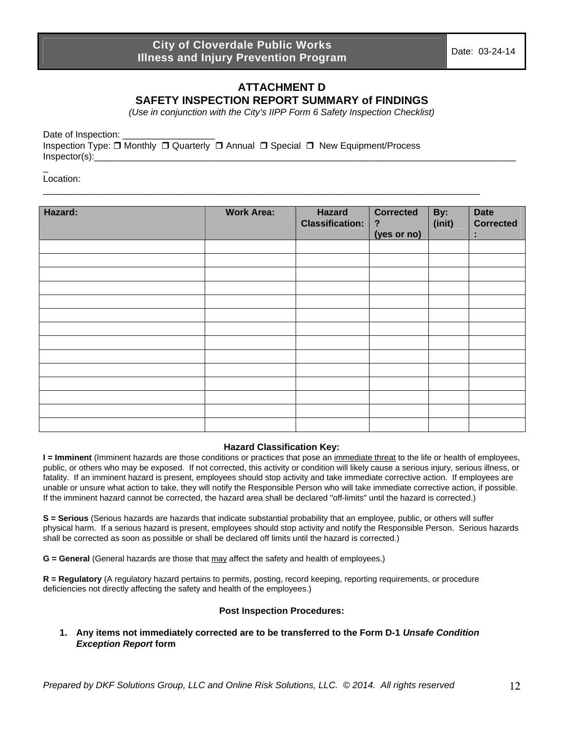## **ATTACHMENT D SAFETY INSPECTION REPORT SUMMARY of FINDINGS**

*(Use in conjunction with the City's IIPP Form 6 Safety Inspection Checklist)* 

\_\_\_\_\_\_\_\_\_\_\_\_\_\_\_\_\_\_\_\_\_\_\_\_\_\_\_\_\_\_\_\_\_\_\_\_\_\_\_\_\_\_\_\_\_\_\_\_\_\_\_\_\_\_\_\_\_\_\_\_\_\_\_\_\_\_\_\_\_\_\_\_\_\_\_\_\_\_\_\_\_\_\_\_\_

Date of Inspection: Inspection Type: Monthly Quarterly Annual Special New Equipment/Process  $Inspector(s):$ 

Location:

 $\overline{a}$ 

| Hazard: | <b>Work Area:</b> | <b>Hazard</b><br><b>Classification:</b> | <b>Corrected</b><br>$\ddot{\phantom{0}}$<br>(yes or no) | By:<br>(init) | <b>Date</b><br><b>Corrected</b><br>t |
|---------|-------------------|-----------------------------------------|---------------------------------------------------------|---------------|--------------------------------------|
|         |                   |                                         |                                                         |               |                                      |
|         |                   |                                         |                                                         |               |                                      |
|         |                   |                                         |                                                         |               |                                      |
|         |                   |                                         |                                                         |               |                                      |
|         |                   |                                         |                                                         |               |                                      |
|         |                   |                                         |                                                         |               |                                      |
|         |                   |                                         |                                                         |               |                                      |
|         |                   |                                         |                                                         |               |                                      |
|         |                   |                                         |                                                         |               |                                      |
|         |                   |                                         |                                                         |               |                                      |
|         |                   |                                         |                                                         |               |                                      |
|         |                   |                                         |                                                         |               |                                      |
|         |                   |                                         |                                                         |               |                                      |
|         |                   |                                         |                                                         |               |                                      |

#### **Hazard Classification Key:**

**I** = Imminent (Imminent hazards are those conditions or practices that pose an immediate threat to the life or health of employees, public, or others who may be exposed. If not corrected, this activity or condition will likely cause a serious injury, serious illness, or fatality. If an imminent hazard is present, employees should stop activity and take immediate corrective action. If employees are unable or unsure what action to take, they will notify the Responsible Person who will take immediate corrective action, if possible. If the imminent hazard cannot be corrected, the hazard area shall be declared "off-limits" until the hazard is corrected.)

**S = Serious** (Serious hazards are hazards that indicate substantial probability that an employee, public, or others will suffer physical harm. If a serious hazard is present, employees should stop activity and notify the Responsible Person. Serious hazards shall be corrected as soon as possible or shall be declared off limits until the hazard is corrected.)

**G = General** (General hazards are those that may affect the safety and health of employees.)

**R = Regulatory** (A regulatory hazard pertains to permits, posting, record keeping, reporting requirements, or procedure deficiencies not directly affecting the safety and health of the employees.)

#### **Post Inspection Procedures:**

**1. Any items not immediately corrected are to be transferred to the Form D-1** *Unsafe Condition Exception Report* **form**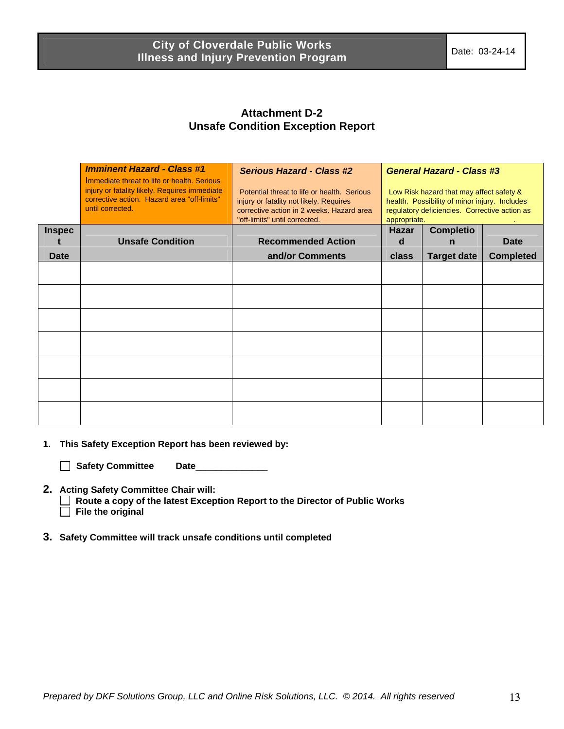## **Attachment D-2 Unsafe Condition Exception Report**

|               | <b>Imminent Hazard - Class #1</b><br>Immediate threat to life or health. Serious<br>injury or fatality likely. Requires immediate<br>corrective action. Hazard area "off-limits"<br>until corrected. | <b>Serious Hazard - Class #2</b><br>Potential threat to life or health. Serious<br>injury or fatality not likely. Requires<br>corrective action in 2 weeks. Hazard area<br>"off-limits" until corrected. | <b>General Hazard - Class #3</b><br>Low Risk hazard that may affect safety &<br>health. Possibility of minor injury. Includes<br>regulatory deficiencies. Corrective action as<br>appropriate. |                       |                  |
|---------------|------------------------------------------------------------------------------------------------------------------------------------------------------------------------------------------------------|----------------------------------------------------------------------------------------------------------------------------------------------------------------------------------------------------------|------------------------------------------------------------------------------------------------------------------------------------------------------------------------------------------------|-----------------------|------------------|
| <b>Inspec</b> | <b>Unsafe Condition</b>                                                                                                                                                                              | <b>Recommended Action</b>                                                                                                                                                                                | <b>Hazar</b><br>d                                                                                                                                                                              | <b>Completio</b><br>n | <b>Date</b>      |
| Date          |                                                                                                                                                                                                      | and/or Comments                                                                                                                                                                                          | class                                                                                                                                                                                          | <b>Target date</b>    | <b>Completed</b> |
|               |                                                                                                                                                                                                      |                                                                                                                                                                                                          |                                                                                                                                                                                                |                       |                  |
|               |                                                                                                                                                                                                      |                                                                                                                                                                                                          |                                                                                                                                                                                                |                       |                  |
|               |                                                                                                                                                                                                      |                                                                                                                                                                                                          |                                                                                                                                                                                                |                       |                  |
|               |                                                                                                                                                                                                      |                                                                                                                                                                                                          |                                                                                                                                                                                                |                       |                  |
|               |                                                                                                                                                                                                      |                                                                                                                                                                                                          |                                                                                                                                                                                                |                       |                  |
|               |                                                                                                                                                                                                      |                                                                                                                                                                                                          |                                                                                                                                                                                                |                       |                  |
|               |                                                                                                                                                                                                      |                                                                                                                                                                                                          |                                                                                                                                                                                                |                       |                  |
|               |                                                                                                                                                                                                      |                                                                                                                                                                                                          |                                                                                                                                                                                                |                       |                  |

- **1. This Safety Exception Report has been reviewed by:** 
	- **Safety Committee Date**\_\_\_\_\_\_\_\_\_\_\_\_\_\_
- **2. Acting Safety Committee Chair will:**

 **Route a copy of the latest Exception Report to the Director of Public Works File the original** 

**3. Safety Committee will track unsafe conditions until completed**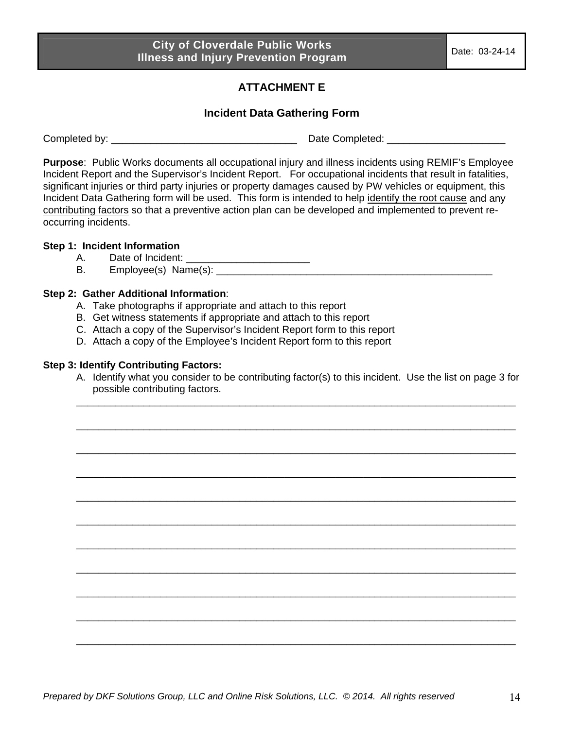# **ATTACHMENT E**

## **Incident Data Gathering Form**

Completed by: \_\_\_\_\_\_\_\_\_\_\_\_\_\_\_\_\_\_\_\_\_\_\_\_\_\_\_\_\_\_\_\_\_ Date Completed: \_\_\_\_\_\_\_\_\_\_\_\_\_\_\_\_\_\_\_\_\_

**Purpose**: Public Works documents all occupational injury and illness incidents using REMIF's Employee Incident Report and the Supervisor's Incident Report. For occupational incidents that result in fatalities, significant injuries or third party injuries or property damages caused by PW vehicles or equipment, this Incident Data Gathering form will be used. This form is intended to help identify the root cause and any contributing factors so that a preventive action plan can be developed and implemented to prevent reoccurring incidents.

#### **Step 1: Incident Information**

- A. Date of Incident: \_\_\_\_\_\_\_\_\_\_\_\_\_\_\_\_\_\_\_\_\_\_
- B. Employee(s) Name(s):  $\blacksquare$

#### **Step 2: Gather Additional Information**:

- A. Take photographs if appropriate and attach to this report
- B. Get witness statements if appropriate and attach to this report
- C. Attach a copy of the Supervisor's Incident Report form to this report
- D. Attach a copy of the Employee's Incident Report form to this report

#### **Step 3: Identify Contributing Factors:**

A. Identify what you consider to be contributing factor(s) to this incident. Use the list on page 3 for possible contributing factors. \_\_\_\_\_\_\_\_\_\_\_\_\_\_\_\_\_\_\_\_\_\_\_\_\_\_\_\_\_\_\_\_\_\_\_\_\_\_\_\_\_\_\_\_\_\_\_\_\_\_\_\_\_\_\_\_\_\_\_\_\_\_\_\_\_\_\_\_\_\_\_\_\_\_\_\_\_\_

\_\_\_\_\_\_\_\_\_\_\_\_\_\_\_\_\_\_\_\_\_\_\_\_\_\_\_\_\_\_\_\_\_\_\_\_\_\_\_\_\_\_\_\_\_\_\_\_\_\_\_\_\_\_\_\_\_\_\_\_\_\_\_\_\_\_\_\_\_\_\_\_\_\_\_\_\_\_

\_\_\_\_\_\_\_\_\_\_\_\_\_\_\_\_\_\_\_\_\_\_\_\_\_\_\_\_\_\_\_\_\_\_\_\_\_\_\_\_\_\_\_\_\_\_\_\_\_\_\_\_\_\_\_\_\_\_\_\_\_\_\_\_\_\_\_\_\_\_\_\_\_\_\_\_\_\_

\_\_\_\_\_\_\_\_\_\_\_\_\_\_\_\_\_\_\_\_\_\_\_\_\_\_\_\_\_\_\_\_\_\_\_\_\_\_\_\_\_\_\_\_\_\_\_\_\_\_\_\_\_\_\_\_\_\_\_\_\_\_\_\_\_\_\_\_\_\_\_\_\_\_\_\_\_\_

\_\_\_\_\_\_\_\_\_\_\_\_\_\_\_\_\_\_\_\_\_\_\_\_\_\_\_\_\_\_\_\_\_\_\_\_\_\_\_\_\_\_\_\_\_\_\_\_\_\_\_\_\_\_\_\_\_\_\_\_\_\_\_\_\_\_\_\_\_\_\_\_\_\_\_\_\_\_

\_\_\_\_\_\_\_\_\_\_\_\_\_\_\_\_\_\_\_\_\_\_\_\_\_\_\_\_\_\_\_\_\_\_\_\_\_\_\_\_\_\_\_\_\_\_\_\_\_\_\_\_\_\_\_\_\_\_\_\_\_\_\_\_\_\_\_\_\_\_\_\_\_\_\_\_\_\_

\_\_\_\_\_\_\_\_\_\_\_\_\_\_\_\_\_\_\_\_\_\_\_\_\_\_\_\_\_\_\_\_\_\_\_\_\_\_\_\_\_\_\_\_\_\_\_\_\_\_\_\_\_\_\_\_\_\_\_\_\_\_\_\_\_\_\_\_\_\_\_\_\_\_\_\_\_\_

\_\_\_\_\_\_\_\_\_\_\_\_\_\_\_\_\_\_\_\_\_\_\_\_\_\_\_\_\_\_\_\_\_\_\_\_\_\_\_\_\_\_\_\_\_\_\_\_\_\_\_\_\_\_\_\_\_\_\_\_\_\_\_\_\_\_\_\_\_\_\_\_\_\_\_\_\_\_

\_\_\_\_\_\_\_\_\_\_\_\_\_\_\_\_\_\_\_\_\_\_\_\_\_\_\_\_\_\_\_\_\_\_\_\_\_\_\_\_\_\_\_\_\_\_\_\_\_\_\_\_\_\_\_\_\_\_\_\_\_\_\_\_\_\_\_\_\_\_\_\_\_\_\_\_\_\_

\_\_\_\_\_\_\_\_\_\_\_\_\_\_\_\_\_\_\_\_\_\_\_\_\_\_\_\_\_\_\_\_\_\_\_\_\_\_\_\_\_\_\_\_\_\_\_\_\_\_\_\_\_\_\_\_\_\_\_\_\_\_\_\_\_\_\_\_\_\_\_\_\_\_\_\_\_\_

\_\_\_\_\_\_\_\_\_\_\_\_\_\_\_\_\_\_\_\_\_\_\_\_\_\_\_\_\_\_\_\_\_\_\_\_\_\_\_\_\_\_\_\_\_\_\_\_\_\_\_\_\_\_\_\_\_\_\_\_\_\_\_\_\_\_\_\_\_\_\_\_\_\_\_\_\_\_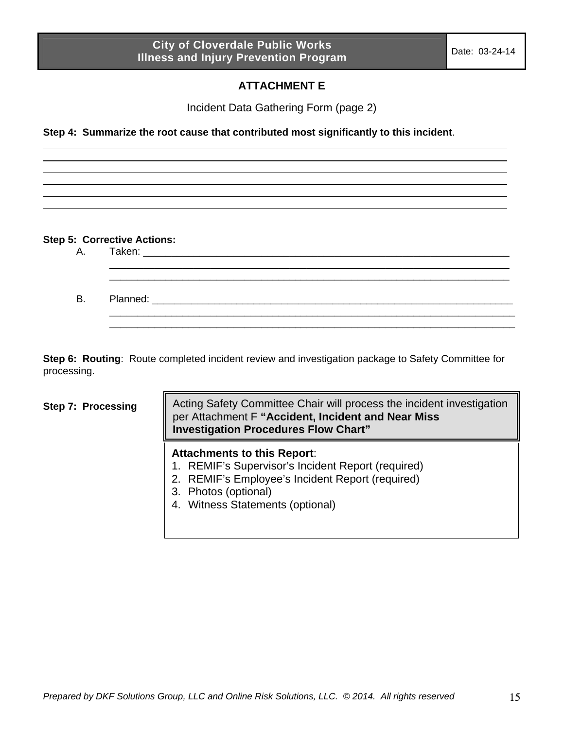## **ATTACHMENT E**

Incident Data Gathering Form (page 2)

**Step 4: Summarize the root cause that contributed most significantly to this incident**.

#### **Step 5: Corrective Actions:**

| B. Planned: The Planned Section of the Contract of the Contract of the Contract of the Contract of the Contract of the Contract of the Contract of the Contract of the Contract of the Contract of the Contract of the Contrac |
|--------------------------------------------------------------------------------------------------------------------------------------------------------------------------------------------------------------------------------|
|                                                                                                                                                                                                                                |

**Step 6: Routing**: Route completed incident review and investigation package to Safety Committee for processing.

#### **Step 7: Processing**

Acting Safety Committee Chair will process the incident investigation per Attachment F **"Accident, Incident and Near Miss Investigation Procedures Flow Chart"**

#### **Attachments to this Report**:

- 1. REMIF's Supervisor's Incident Report (required)
- 2. REMIF's Employee's Incident Report (required)
- 3. Photos (optional)
- 4. Witness Statements (optional)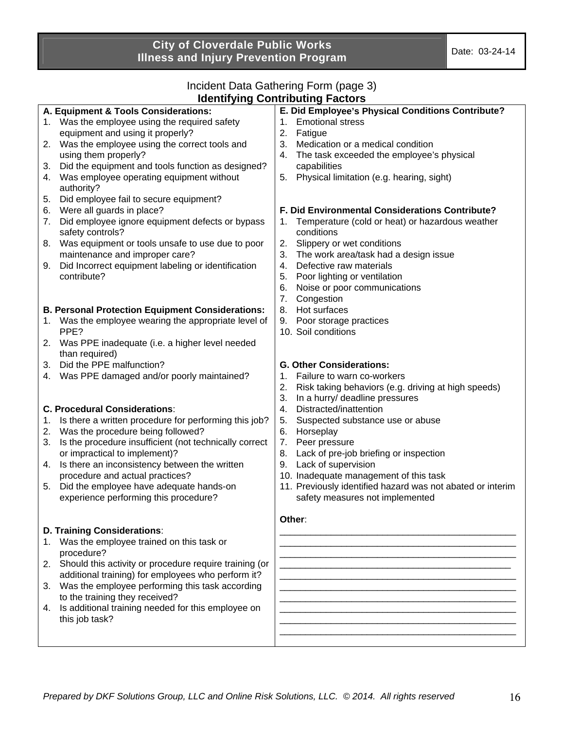# Incident Data Gathering Form (page 3)

| <b>Identifying Contributing Factors</b>                                                                                                                                                                                                                                                                                                                                                                                                                                                                                                                                                                                                                                                                                          |                                                                                                                                                                                                                                                                                                                                                                                                                                                                                                                                                                                                              |  |  |  |
|----------------------------------------------------------------------------------------------------------------------------------------------------------------------------------------------------------------------------------------------------------------------------------------------------------------------------------------------------------------------------------------------------------------------------------------------------------------------------------------------------------------------------------------------------------------------------------------------------------------------------------------------------------------------------------------------------------------------------------|--------------------------------------------------------------------------------------------------------------------------------------------------------------------------------------------------------------------------------------------------------------------------------------------------------------------------------------------------------------------------------------------------------------------------------------------------------------------------------------------------------------------------------------------------------------------------------------------------------------|--|--|--|
| A. Equipment & Tools Considerations:<br>1. Was the employee using the required safety<br>equipment and using it properly?<br>Was the employee using the correct tools and<br>2.<br>using them properly?<br>Did the equipment and tools function as designed?<br>3.<br>Was employee operating equipment without<br>4.<br>authority?<br>Did employee fail to secure equipment?<br>5.<br>Were all guards in place?<br>6.<br>Did employee ignore equipment defects or bypass<br>7.<br>safety controls?<br>Was equipment or tools unsafe to use due to poor<br>8.<br>maintenance and improper care?<br>Did Incorrect equipment labeling or identification<br>9.<br>contribute?                                                        | E. Did Employee's Physical Conditions Contribute?<br><b>Emotional stress</b><br>1.<br>2.<br>Fatigue<br>3.<br>Medication or a medical condition<br>The task exceeded the employee's physical<br>4.<br>capabilities<br>Physical limitation (e.g. hearing, sight)<br>5.<br>F. Did Environmental Considerations Contribute?<br>Temperature (cold or heat) or hazardous weather<br>conditions<br>Slippery or wet conditions<br>2.<br>The work area/task had a design issue<br>3.<br>Defective raw materials<br>4.<br>Poor lighting or ventilation<br>5.<br>6.<br>Noise or poor communications<br>7.<br>Congestion |  |  |  |
| <b>B. Personal Protection Equipment Considerations:</b><br>Was the employee wearing the appropriate level of<br>1.<br>PPE?<br>Was PPE inadequate (i.e. a higher level needed<br>2.<br>than required)<br>Did the PPE malfunction?<br>3.<br>Was PPE damaged and/or poorly maintained?<br>4.<br><b>C. Procedural Considerations:</b><br>Is there a written procedure for performing this job?<br>1.<br>Was the procedure being followed?<br>2.<br>Is the procedure insufficient (not technically correct<br>3.<br>or impractical to implement)?<br>Is there an inconsistency between the written<br>4.<br>procedure and actual practices?<br>Did the employee have adequate hands-on<br>5.<br>experience performing this procedure? | Hot surfaces<br>8.<br>Poor storage practices<br>9.<br>10. Soil conditions<br><b>G. Other Considerations:</b><br>Failure to warn co-workers<br>1.<br>2.<br>Risk taking behaviors (e.g. driving at high speeds)<br>3.<br>In a hurry/ deadline pressures<br>Distracted/inattention<br>4.<br>5.<br>Suspected substance use or abuse<br>6.<br>Horseplay<br>Peer pressure<br>7.<br>Lack of pre-job briefing or inspection<br>8.<br>Lack of supervision<br>9.<br>10. Inadequate management of this task<br>11. Previously identified hazard was not abated or interim<br>safety measures not implemented<br>Other:  |  |  |  |
| D. Training Considerations:<br>Was the employee trained on this task or<br>1.<br>procedure?<br>Should this activity or procedure require training (or<br>2.<br>additional training) for employees who perform it?<br>Was the employee performing this task according<br>3.<br>to the training they received?<br>4. Is additional training needed for this employee on<br>this job task?                                                                                                                                                                                                                                                                                                                                          |                                                                                                                                                                                                                                                                                                                                                                                                                                                                                                                                                                                                              |  |  |  |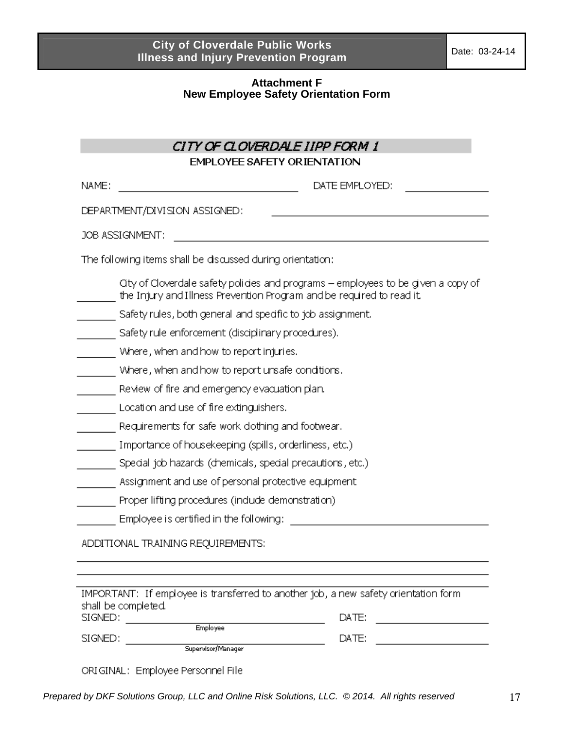#### **Attachment F New Employee Safety Orientation Form**

|       | <b>EMPLOYEE SAFETY ORIENTATION</b>                                                                                                                        |
|-------|-----------------------------------------------------------------------------------------------------------------------------------------------------------|
| NAME: | DATE EMPLOYED:                                                                                                                                            |
|       | DEPARTMENT/DIVISION ASSIGNED:                                                                                                                             |
|       | JOB ASSIGNMENT:                                                                                                                                           |
|       |                                                                                                                                                           |
|       | The following items shall be discussed during orientation:                                                                                                |
|       | Oty of Cloverdale safety policies and programs - employees to be given a copy of<br>the Injury and Illness Prevention Program and be required to read it. |
|       | Safety rules, both general and specific to job assignment.                                                                                                |
|       | Safety rule enforcement (disciplinary procedures).                                                                                                        |
|       | Where, when and how to report injuries.                                                                                                                   |
|       | Where, when and how to report unsafe conditions.                                                                                                          |
|       | Review of fire and emergency evacuation plan.                                                                                                             |
|       | Location and use of fire extinguishers.                                                                                                                   |
|       | Requirements for safe work dothing and footwear.                                                                                                          |
|       | Importance of housekeeping (spills, orderliness, etc.)                                                                                                    |
|       | Special job hazards (chemicals, special precautions, etc.)                                                                                                |
|       | Assignment and use of personal protective equipment                                                                                                       |
|       | Proper lifting procedures (indude demonstration)                                                                                                          |
|       | Employee is certified in the following:                                                                                                                   |
|       | ADDITIONAL TRAINING REQUIREMENTS:                                                                                                                         |
|       |                                                                                                                                                           |

| shair pe compreteu. |                    |       |  |
|---------------------|--------------------|-------|--|
| SIGNED:             |                    | DATE: |  |
|                     | <b>Employee</b>    |       |  |
| SIGNED:             |                    | DATE: |  |
|                     | Supervisor/Manager |       |  |

ORIGINAL: Employee Personnel File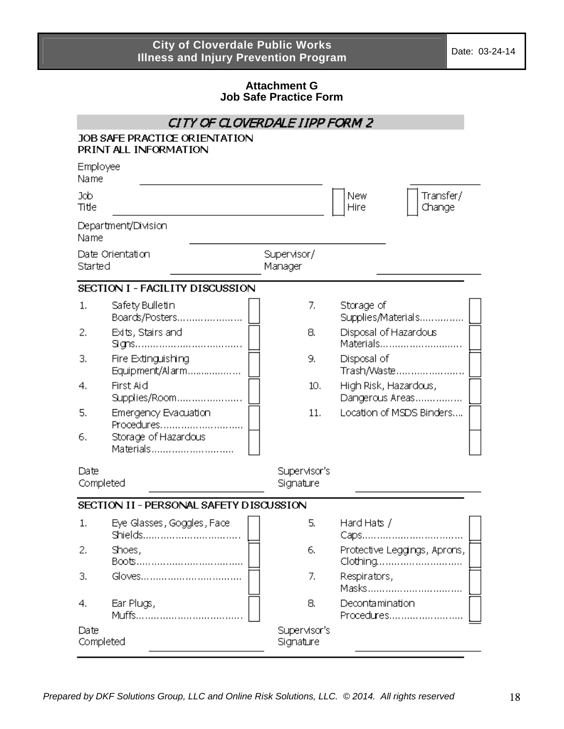#### **Attachment G Job Safe Practice Form**

| CITY OF CLOVERDALE IIPP FORM 2 |                                                        |                           |                    |                                          |
|--------------------------------|--------------------------------------------------------|---------------------------|--------------------|------------------------------------------|
|                                | JOB SAFE PRACTICE ORIENTATION<br>PRINT ALL INFORMATION |                           |                    |                                          |
| Employee<br>Name               |                                                        |                           |                    |                                          |
| Job<br>Title                   |                                                        |                           | <b>New</b><br>Hire | Transfer/<br>Change                      |
| Name                           | Department/Division                                    |                           |                    |                                          |
| Started                        | Date Orientation                                       | Supervisor/<br>Manager    |                    |                                          |
|                                | SECTION I - FACILITY DISCUSSION                        |                           |                    |                                          |
| 1.                             | Safety Bulletin<br>Boards/Posters                      | 7.                        | Storage of         | Supplies/Materials                       |
| 2.                             | Exits, Stairs and                                      | 8.                        |                    | Disposal of Hazardous<br>Materials       |
| З.                             | Fire Extinguishing<br>Equipment/Alarm                  | 9.                        | Disposal of        | Trash/Waste                              |
| 4.                             | First Aid<br>Supplies/Room                             | 10.                       |                    | High Risk, Hazardous,<br>Dangerous Areas |
| 5.                             | Emergency Evacuation<br>Procedures                     | 11.                       |                    | Location of MSDS Binders                 |
| 6.                             | Storage of Hazardous<br>Materials                      |                           |                    |                                          |
| Date<br>Completed              |                                                        | Supervisor's<br>Signature |                    |                                          |
|                                | SECTION II - PERSONAL SAFETY DISCUSSION                |                           |                    |                                          |
| 1.                             | Eye Glasses, Goggles, Face<br>Shields                  | 5,                        | Hard Hats /        |                                          |
| 2.                             | Shoes,                                                 | 6.                        |                    | Protective Leggings, Aprons,<br>Clothing |
| з.                             | Gloves                                                 | 7.                        | Respirators,       | Masks                                    |
| 4.                             | Ear Plugs,                                             | 8.                        | Decontamination    | Procedures                               |
| Date<br>Completed              |                                                        | Supervisor's<br>Signature |                    |                                          |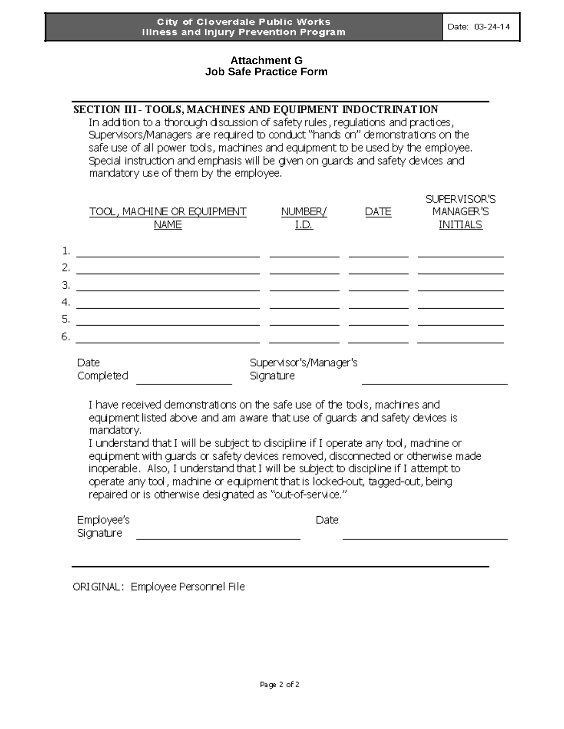#### **Attachment G Job Safe Practice Form**

|  | SECTION III-TOOLS, MACHINES AND EQUIPMENT INDOCTRINATION |
|--|----------------------------------------------------------|
|  |                                                          |

In addition to a thorough discussion of safety rules, regulations and practices, Supervisors/Managers are required to conduct "hands on" demonstrations on the safe use of all power tools, machines and equipment to be used by the employee. Special instruction and emphasis will be given on guards and safety devices and mandatory use of them by the employee.

|          | TOOL, MACHINE OR EQUIPMENT.<br><b>NAME</b>                                                                                                                                                                                                                                                                                                        | NUMBER/<br>I.D.                     | DATE | SUPERVISOR'S<br>MANAGER'S<br>INITIALS. |  |
|----------|---------------------------------------------------------------------------------------------------------------------------------------------------------------------------------------------------------------------------------------------------------------------------------------------------------------------------------------------------|-------------------------------------|------|----------------------------------------|--|
|          | 1.                                                                                                                                                                                                                                                                                                                                                |                                     |      |                                        |  |
|          |                                                                                                                                                                                                                                                                                                                                                   |                                     |      |                                        |  |
| 4.<br>5. | <u> Alexandria (m. 1888)</u>                                                                                                                                                                                                                                                                                                                      |                                     |      |                                        |  |
| 6.       | <u> 1980 - John Amerikaanse kommunister op de opgevolgde op de opgevolgde opgevolgde opgevolgde opgevolgde opgevol</u>                                                                                                                                                                                                                            |                                     |      |                                        |  |
|          | Date<br>Completed                                                                                                                                                                                                                                                                                                                                 | Supervisor's/Manager's<br>Signature |      |                                        |  |
|          | I have received demonstrations on the safe use of the tools, machines and<br>equipment listed above and am aware that use of guards and safety devices is<br>mandatory.<br>I understand that I will be subject to discipline if I operate any tool, machine or<br>equipment with guards or safety devices removed, disconnected or otherwise made |                                     |      |                                        |  |
|          | inoperable. Also, I understand that I will be subject to discipline if I attempt to<br>operate any tool, machine or equipment that is locked-out, tagged-out, being<br>repaired or is otherwise designated as "out-of-service."                                                                                                                   |                                     |      |                                        |  |
|          | Employee's                                                                                                                                                                                                                                                                                                                                        | Date                                |      |                                        |  |

Signature

Date

ORIGINAL: Employee Personnel File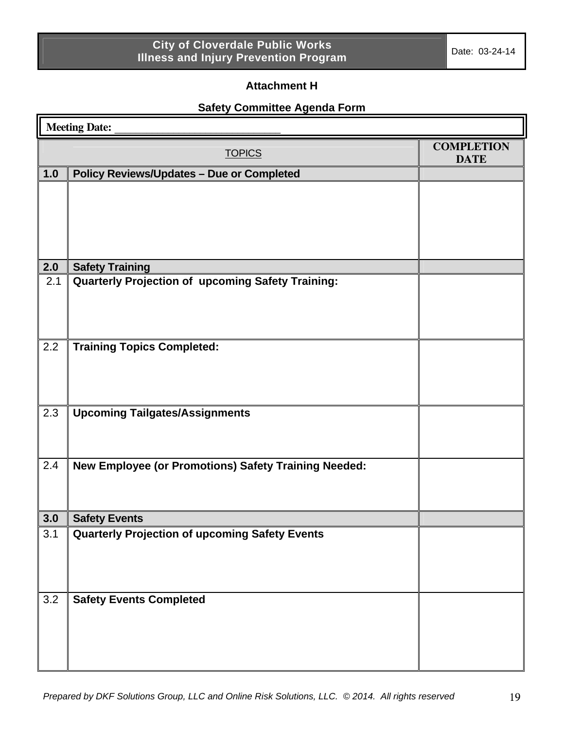### **Attachment H**

# **Safety Committee Agenda Form**

| <b>Meeting Date:</b> |                                                          |                                  |  |  |
|----------------------|----------------------------------------------------------|----------------------------------|--|--|
|                      | <b>TOPICS</b>                                            | <b>COMPLETION</b><br><b>DATE</b> |  |  |
| 1.0                  | <b>Policy Reviews/Updates - Due or Completed</b>         |                                  |  |  |
|                      |                                                          |                                  |  |  |
| 2.0                  | <b>Safety Training</b>                                   |                                  |  |  |
| 2.1                  | <b>Quarterly Projection of upcoming Safety Training:</b> |                                  |  |  |
| 2.2                  | <b>Training Topics Completed:</b>                        |                                  |  |  |
| 2.3                  | <b>Upcoming Tailgates/Assignments</b>                    |                                  |  |  |
| 2.4                  | New Employee (or Promotions) Safety Training Needed:     |                                  |  |  |
| 3.0                  | <b>Safety Events</b>                                     |                                  |  |  |
| 3.1                  | <b>Quarterly Projection of upcoming Safety Events</b>    |                                  |  |  |
| 3.2                  | <b>Safety Events Completed</b>                           |                                  |  |  |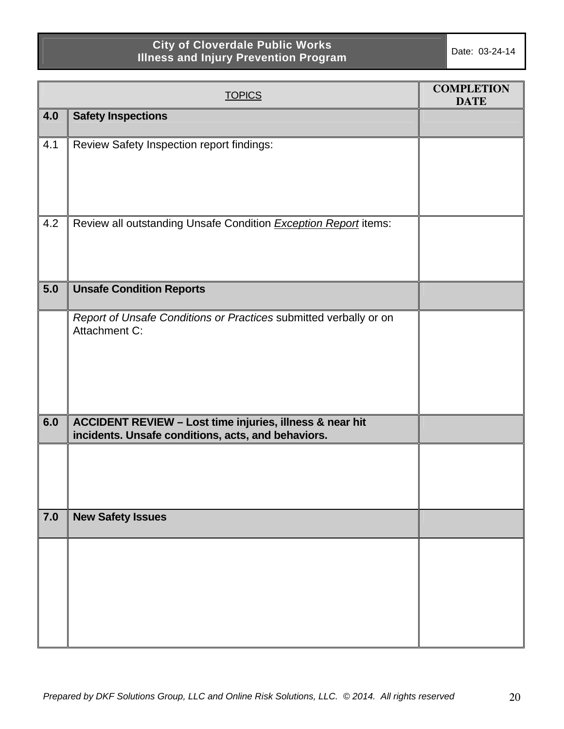|     | <b>TOPICS</b>                                                                                                  | <b>COMPLETION</b><br><b>DATE</b> |
|-----|----------------------------------------------------------------------------------------------------------------|----------------------------------|
| 4.0 | <b>Safety Inspections</b>                                                                                      |                                  |
| 4.1 | Review Safety Inspection report findings:                                                                      |                                  |
| 4.2 | Review all outstanding Unsafe Condition <b>Exception Report</b> items:                                         |                                  |
| 5.0 | <b>Unsafe Condition Reports</b>                                                                                |                                  |
|     | Report of Unsafe Conditions or Practices submitted verbally or on<br>Attachment C:                             |                                  |
| 6.0 | ACCIDENT REVIEW - Lost time injuries, illness & near hit<br>incidents. Unsafe conditions, acts, and behaviors. |                                  |
|     |                                                                                                                |                                  |
| 7.0 | <b>New Safety Issues</b>                                                                                       |                                  |
|     |                                                                                                                |                                  |